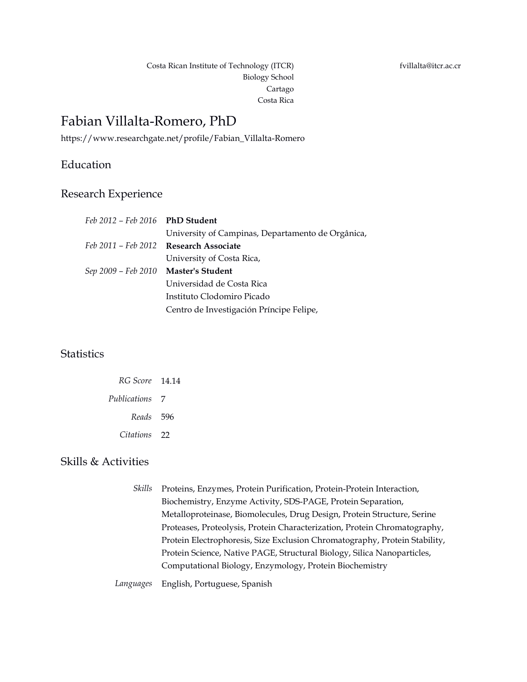Costa Rican Institute of Technology (ITCR) Biology School Cartago Costa Rica

# Fabian Villalta-Romero, PhD

https://www.researchgate.net/profile/Fabian\_Villalta-Romero

### Education

#### Research Experience

| Feb 2012 – Feb 2016 PhD Student      |                                                   |
|--------------------------------------|---------------------------------------------------|
|                                      | University of Campinas, Departamento de Orgânica, |
|                                      | Feb 2011 – Feb 2012 Research Associate            |
|                                      | University of Costa Rica,                         |
| Sep 2009 – Feb 2010 Master's Student |                                                   |
|                                      | Universidad de Costa Rica                         |
|                                      | Instituto Clodomiro Picado                        |
|                                      | Centro de Investigación Príncipe Felipe,          |
|                                      |                                                   |

## **Statistics**

| RG Score 14.14 |  |
|----------------|--|
| Publications 7 |  |
| Reads 596      |  |
| Citations 22   |  |

#### Skills & Activities

*Skills* Proteins, Enzymes, Protein Purification, Protein-Protein Interaction, Biochemistry, Enzyme Activity, SDS-PAGE, Protein Separation, Metalloproteinase, Biomolecules, Drug Design, Protein Structure, Serine Proteases, Proteolysis, Protein Characterization, Protein Chromatography, Protein Electrophoresis, Size Exclusion Chromatography, Protein Stability, Protein Science, Native PAGE, Structural Biology, Silica Nanoparticles, Computational Biology, Enzymology, Protein Biochemistry

*Languages* English, Portuguese, Spanish